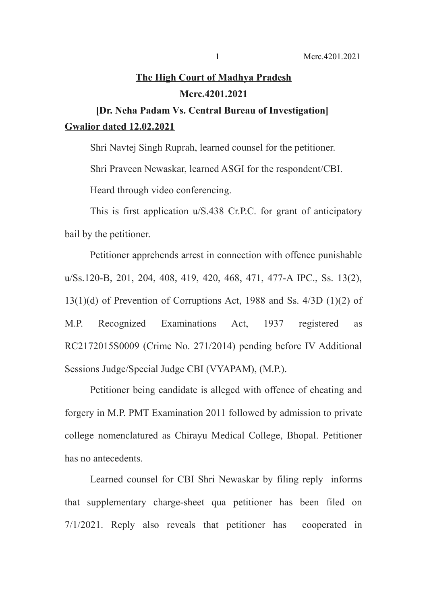## **The High Court of Madhya Pradesh Mcrc.4201.2021**

**[Dr. Neha Padam Vs. Central Bureau of Investigation] Gwalior dated 12.02.2021**

Shri Navtej Singh Ruprah, learned counsel for the petitioner.

Shri Praveen Newaskar, learned ASGI for the respondent/CBI.

Heard through video conferencing.

This is first application u/S.438 Cr.P.C. for grant of anticipatory bail by the petitioner.

Petitioner apprehends arrest in connection with offence punishable u/Ss.120-B, 201, 204, 408, 419, 420, 468, 471, 477-A IPC., Ss. 13(2), 13(1)(d) of Prevention of Corruptions Act, 1988 and Ss. 4/3D (1)(2) of M.P. Recognized Examinations Act, 1937 registered as RC2172015S0009 (Crime No. 271/2014) pending before IV Additional Sessions Judge/Special Judge CBI (VYAPAM), (M.P.).

Petitioner being candidate is alleged with offence of cheating and forgery in M.P. PMT Examination 2011 followed by admission to private college nomenclatured as Chirayu Medical College, Bhopal. Petitioner has no antecedents.

Learned counsel for CBI Shri Newaskar by filing reply informs that supplementary charge-sheet qua petitioner has been filed on 7/1/2021. Reply also reveals that petitioner has cooperated in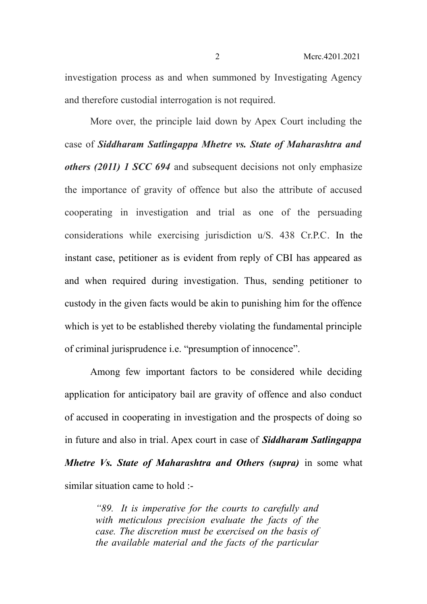investigation process as and when summoned by Investigating Agency and therefore custodial interrogation is not required.

More over, the principle laid down by Apex Court including the case of *Siddharam Satlingappa Mhetre vs. State of Maharashtra and others (2011) 1 SCC 694* and subsequent decisions not only emphasize the importance of gravity of offence but also the attribute of accused cooperating in investigation and trial as one of the persuading considerations while exercising jurisdiction u/S. 438 Cr.P.C. In the instant case, petitioner as is evident from reply of CBI has appeared as and when required during investigation. Thus, sending petitioner to custody in the given facts would be akin to punishing him for the offence which is yet to be established thereby violating the fundamental principle of criminal jurisprudence i.e. "presumption of innocence".

Among few important factors to be considered while deciding application for anticipatory bail are gravity of offence and also conduct of accused in cooperating in investigation and the prospects of doing so in future and also in trial. Apex court in case of *Siddharam Satlingappa Mhetre Vs. State of Maharashtra and Others (supra)* in some what similar situation came to hold :-

> *"89. It is imperative for the courts to carefully and with meticulous precision evaluate the facts of the case. The discretion must be exercised on the basis of the available material and the facts of the particular*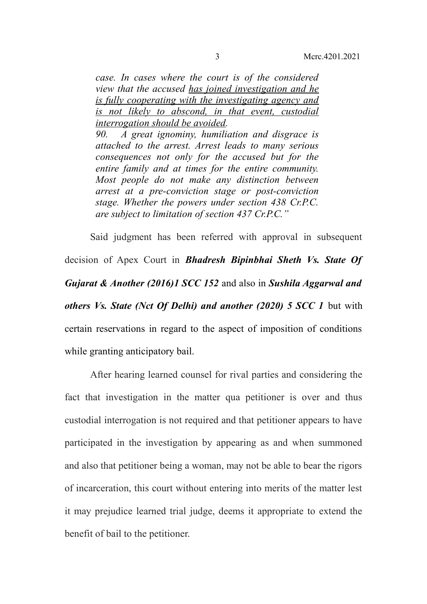*case. In cases where the court is of the considered view that the accused has joined investigation and he is fully cooperating with the investigating agency and is not likely to abscond, in that event, custodial interrogation should be avoided. 90. A great ignominy, humiliation and disgrace is attached to the arrest. Arrest leads to many serious consequences not only for the accused but for the entire family and at times for the entire community. Most people do not make any distinction between arrest at a pre-conviction stage or post-conviction stage. Whether the powers under section 438 Cr.P.C. are subject to limitation of section 437 Cr.P.C."*

Said judgment has been referred with approval in subsequent decision of Apex Court in *Bhadresh Bipinbhai Sheth Vs. State Of Gujarat & Another (2016)1 SCC 152* and also in *Sushila Aggarwal and others Vs. State (Nct Of Delhi) and another (2020) 5 SCC 1* but with certain reservations in regard to the aspect of imposition of conditions while granting anticipatory bail.

After hearing learned counsel for rival parties and considering the fact that investigation in the matter qua petitioner is over and thus custodial interrogation is not required and that petitioner appears to have participated in the investigation by appearing as and when summoned and also that petitioner being a woman, may not be able to bear the rigors of incarceration, this court without entering into merits of the matter lest it may prejudice learned trial judge, deems it appropriate to extend the benefit of bail to the petitioner.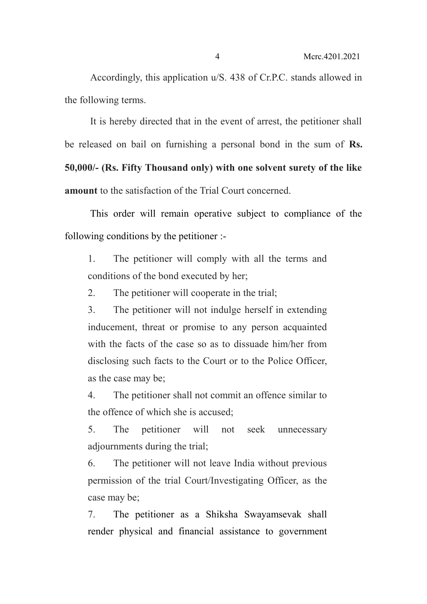Accordingly, this application u/S. 438 of Cr.P.C. stands allowed in the following terms.

It is hereby directed that in the event of arrest, the petitioner shall be released on bail on furnishing a personal bond in the sum of **Rs. 50,000/- (Rs. Fifty Thousand only) with one solvent surety of the like amount** to the satisfaction of the Trial Court concerned.

This order will remain operative subject to compliance of the following conditions by the petitioner :-

1. The petitioner will comply with all the terms and conditions of the bond executed by her;

2. The petitioner will cooperate in the trial;

3. The petitioner will not indulge herself in extending inducement, threat or promise to any person acquainted with the facts of the case so as to dissuade him/her from disclosing such facts to the Court or to the Police Officer, as the case may be;

4. The petitioner shall not commit an offence similar to the offence of which she is accused;

5. The petitioner will not seek unnecessary adjournments during the trial;

6. The petitioner will not leave India without previous permission of the trial Court/Investigating Officer, as the case may be;

7. The petitioner as a Shiksha Swayamsevak shall render physical and financial assistance to government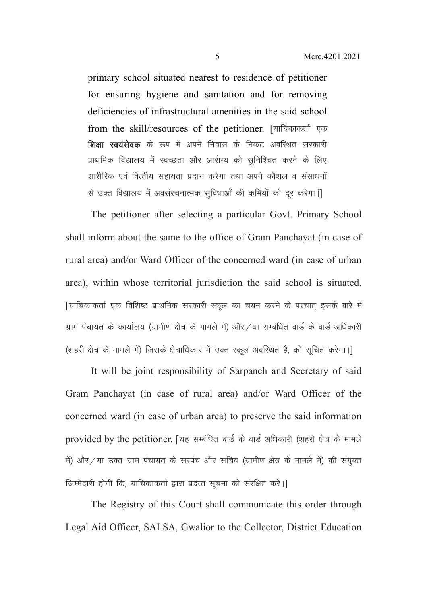primary school situated nearest to residence of petitioner for ensuring hygiene and sanitation and for removing deficiencies of infrastructural amenities in the said school from the skill/resources of the petitioner. [याचिकाकर्ता एक **शिक्षा स्वयंसेवक** के रूप में अपने निवास के निकट अवस्थित सरकारी प्राथमिक विद्यालय में स्वच्छता और आरोग्य को सुनिश्चित करने के लिए शारीरिक एवं वित्तीय सहायता प्रदान करेगा तथा अपने कौशल व संसाधनों से उक्त विद्यालय में अवसंरचनात्मक सविधाओं की कमियों को दर करेगा।

The petitioner after selecting a particular Govt. Primary School shall inform about the same to the office of Gram Panchayat (in case of rural area) and/or Ward Officer of the concerned ward (in case of urban area), within whose territorial jurisdiction the said school is situated. [याचिकाकर्ता एक विशिष्ट प्राथमिक सरकारी स्कूल का चयन करने के पश्चात इसके बारे में ग्राम पंचायत के कार्यालय (ग्रामीण क्षेत्र के मामले में) और /या सम्बंधित वार्ड के वार्ड अधिकारी (शहरी क्षेत्र के मामले में) जिसके क्षेत्राधिकार में उक्त स्कूल अवस्थित है, को सुचित करेगा।]

It will be joint responsibility of Sarpanch and Secretary of said Gram Panchayat (in case of rural area) and/or Ward Officer of the concerned ward (in case of urban area) to preserve the said information provided by the petitioner. [यह सम्बंधित वार्ड के वार्ड अधिकारी (शहरी क्षेत्र के मामले में) और /या उक्त ग्राम पंचायत के सरपंच और सचिव (ग्रामीण क्षेत्र के मामले में) की संयुक्त जिम्मेदारी होगी कि, याचिकाकर्ता द्वारा प्रदत्त सूचना को संरक्षित करे।

The Registry of this Court shall communicate this order through Legal Aid Officer, SALSA, Gwalior to the Collector, District Education